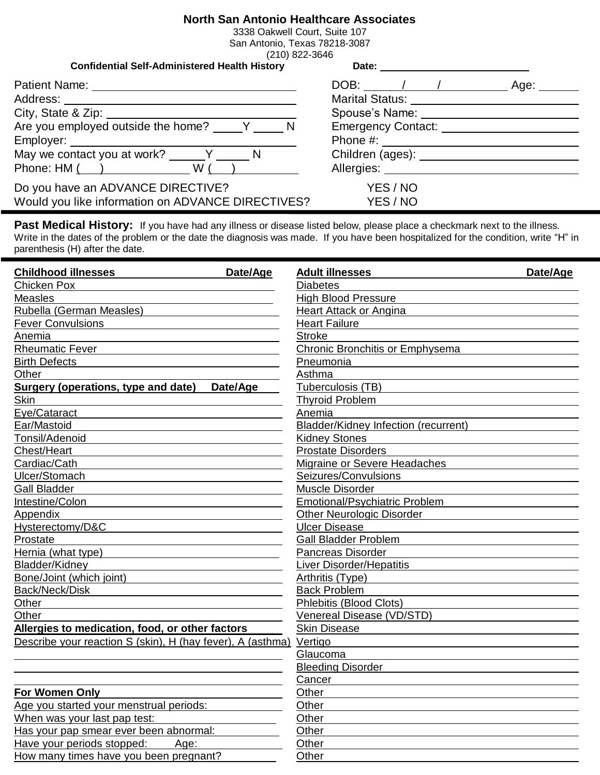## **North San Antonio Healthcare Associates**

3338 Oakwell Court, Suite 107 San Antonio, Texas 78218-3087 (210) 822-3646

| <b>Confidential Self-Administered Health History</b> | Date: <u>________________</u>                                                                                                                                                                                                  |
|------------------------------------------------------|--------------------------------------------------------------------------------------------------------------------------------------------------------------------------------------------------------------------------------|
|                                                      | DOB: $\sqrt{2}$<br>Age: ___                                                                                                                                                                                                    |
|                                                      | Marital Status: _________________________                                                                                                                                                                                      |
|                                                      | Spouse's Name: Name: Name and Spouse's Name: Name and Spouse and Spouse and Spouse and Spouse and Spouse and Spouse and Spouse and Spouse and Spouse and Spouse and Spouse and Spouse and Spouse and Spouse and Spouse and Spo |
| Are you employed outside the home? V V               | Emergency Contact: National Assembly Contact:                                                                                                                                                                                  |
|                                                      | Phone #: ______________________                                                                                                                                                                                                |
| May we contact you at work? Y N                      |                                                                                                                                                                                                                                |
|                                                      | Allergies: Allergies:                                                                                                                                                                                                          |
| Do you have an ADVANCE DIRECTIVE?                    | YES / NO                                                                                                                                                                                                                       |
| Would you like information on ADVANCE DIRECTIVES?    | YES / NO                                                                                                                                                                                                                       |

Past Medical History: If you have had any illness or disease listed below, please place a checkmark next to the illness. Write in the dates of the problem or the date the diagnosis was made. If you have been hospitalized for the condition, write "H" in parenthesis (H) after the date.

| <b>Childhood illnesses</b><br>Date/Age                             | <b>Adult illnesses</b>                      | Date/Age |
|--------------------------------------------------------------------|---------------------------------------------|----------|
| Chicken Pox                                                        | <b>Diabetes</b>                             |          |
| <b>Measles</b>                                                     | <b>High Blood Pressure</b>                  |          |
| Rubella (German Measles)                                           | <b>Heart Attack or Angina</b>               |          |
| <b>Fever Convulsions</b>                                           | <b>Heart Failure</b>                        |          |
| Anemia                                                             | <b>Stroke</b>                               |          |
| <b>Rheumatic Fever</b>                                             | <b>Chronic Bronchitis or Emphysema</b>      |          |
| <b>Birth Defects</b>                                               | Pneumonia                                   |          |
| Other                                                              | Asthma                                      |          |
| <b>Surgery (operations, type and date)</b><br>Date/Age             | Tuberculosis (TB)                           |          |
| <b>Skin</b>                                                        | <b>Thyroid Problem</b>                      |          |
| Eye/Cataract                                                       | Anemia                                      |          |
| Ear/Mastoid                                                        | <b>Bladder/Kidney Infection (recurrent)</b> |          |
| Tonsil/Adenoid                                                     | <b>Kidney Stones</b>                        |          |
| Chest/Heart                                                        | <b>Prostate Disorders</b>                   |          |
| Cardiac/Cath                                                       | Migraine or Severe Headaches                |          |
| Ulcer/Stomach                                                      | Seizures/Convulsions                        |          |
| <b>Gall Bladder</b>                                                | Muscle Disorder                             |          |
| Intestine/Colon                                                    | <b>Emotional/Psychiatric Problem</b>        |          |
| Appendix                                                           | <b>Other Neurologic Disorder</b>            |          |
| Hysterectomy/D&C                                                   | <b>Ulcer Disease</b>                        |          |
| Prostate                                                           | <b>Gall Bladder Problem</b>                 |          |
| Hernia (what type)                                                 | Pancreas Disorder                           |          |
| Bladder/Kidney                                                     | <b>Liver Disorder/Hepatitis</b>             |          |
| Bone/Joint (which joint)                                           | Arthritis (Type)                            |          |
| Back/Neck/Disk                                                     | <b>Back Problem</b>                         |          |
| Other                                                              | <b>Phlebitis (Blood Clots)</b>              |          |
| Other                                                              | Venereal Disease (VD/STD)                   |          |
| Allergies to medication, food, or other factors                    | <b>Skin Disease</b>                         |          |
| Describe your reaction S (skin), H (hay fever), A (asthma) Vertigo |                                             |          |
|                                                                    | Glaucoma                                    |          |
|                                                                    | <b>Bleeding Disorder</b>                    |          |
|                                                                    | Cancer                                      |          |
| For Women Only                                                     | Other                                       |          |
| Age you started your menstrual periods:                            | Other                                       |          |
| When was your last pap test:                                       | Other                                       |          |
| Has your pap smear ever been abnormal:                             | Other                                       |          |
| Have your periods stopped:<br>Age:                                 | Other                                       |          |
| How many times have you been pregnant?                             | Other                                       |          |